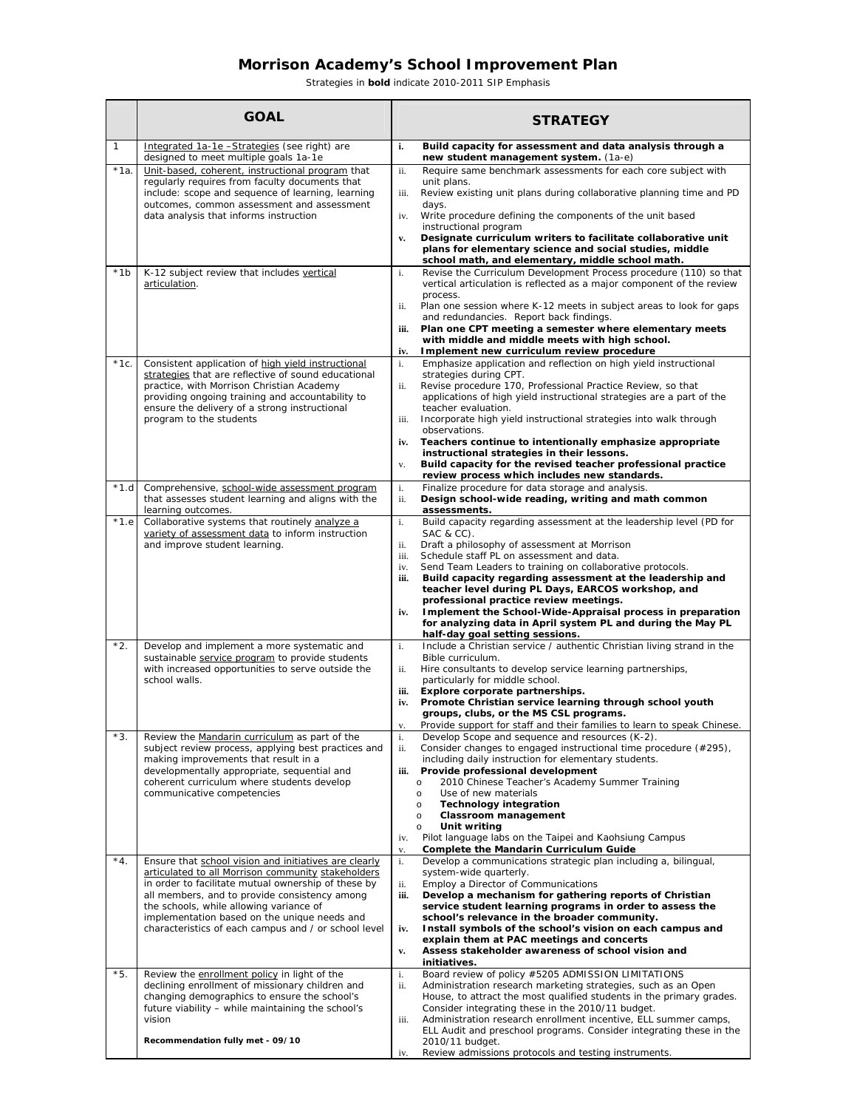## **Morrison Academy's School Improvement Plan**

*Strategies in bold indicate 2010-2011 SIP Emphasis* 

|              | <b>GOAL</b>                                                                                                                                                                                                                                                                                                                                                            | <b>STRATEGY</b>                                                                                                                                                                                                                                                                                                                                                                                           |                                                                                                                                                                                                                                                                                                                                                                                                           |
|--------------|------------------------------------------------------------------------------------------------------------------------------------------------------------------------------------------------------------------------------------------------------------------------------------------------------------------------------------------------------------------------|-----------------------------------------------------------------------------------------------------------------------------------------------------------------------------------------------------------------------------------------------------------------------------------------------------------------------------------------------------------------------------------------------------------|-----------------------------------------------------------------------------------------------------------------------------------------------------------------------------------------------------------------------------------------------------------------------------------------------------------------------------------------------------------------------------------------------------------|
| $\mathbf{1}$ | Integrated 1a-1e -Strategies (see right) are<br>designed to meet multiple goals 1a-1e                                                                                                                                                                                                                                                                                  | new student management system. (1a-e)                                                                                                                                                                                                                                                                                                                                                                     | Build capacity for assessment and data analysis through a                                                                                                                                                                                                                                                                                                                                                 |
| $*1a.$       | Unit-based, coherent, instructional program that<br>regularly requires from faculty documents that<br>include: scope and sequence of learning, learning<br>outcomes, common assessment and assessment<br>data analysis that informs instruction                                                                                                                        | unit plans.<br>days.<br>Write procedure defining the components of the unit based<br>instructional program                                                                                                                                                                                                                                                                                                | Require same benchmark assessments for each core subject with<br>Review existing unit plans during collaborative planning time and PD<br>Designate curriculum writers to facilitate collaborative unit<br>plans for elementary science and social studies, middle                                                                                                                                         |
| $*1b$        | K-12 subject review that includes vertical<br>articulation.                                                                                                                                                                                                                                                                                                            | school math, and elementary, middle school math.<br>process.<br>and redundancies. Report back findings.<br>with middle and middle meets with high school.<br>Implement new curriculum review procedure                                                                                                                                                                                                    | Revise the Curriculum Development Process procedure (110) so that<br>vertical articulation is reflected as a major component of the review<br>Plan one session where K-12 meets in subject areas to look for gaps<br>Plan one CPT meeting a semester where elementary meets                                                                                                                               |
| $*1c.$       | Consistent application of high yield instructional<br>strategies that are reflective of sound educational<br>practice, with Morrison Christian Academy<br>providing ongoing training and accountability to<br>ensure the delivery of a strong instructional<br>program to the students                                                                                 | strategies during CPT.<br>teacher evaluation.<br>observations.<br>instructional strategies in their lessons.<br>review process which includes new standards.                                                                                                                                                                                                                                              | Emphasize application and reflection on high yield instructional<br>Revise procedure 170, Professional Practice Review, so that<br>applications of high yield instructional strategies are a part of the<br>Incorporate high yield instructional strategies into walk through<br>Teachers continue to intentionally emphasize appropriate<br>Build capacity for the revised teacher professional practice |
| *1.d         | Comprehensive, school-wide assessment program<br>that assesses student learning and aligns with the<br>learning outcomes.                                                                                                                                                                                                                                              | Finalize procedure for data storage and analysis.<br>assessments.                                                                                                                                                                                                                                                                                                                                         | Design school-wide reading, writing and math common                                                                                                                                                                                                                                                                                                                                                       |
| $*1.e$       | Collaborative systems that routinely analyze a<br>variety of assessment data to inform instruction<br>and improve student learning.                                                                                                                                                                                                                                    | SAC & CC).<br>Draft a philosophy of assessment at Morrison<br>Schedule staff PL on assessment and data.<br>Send Team Leaders to training on collaborative protocols.<br>professional practice review meetings.<br>half-day goal setting sessions.                                                                                                                                                         | Build capacity regarding assessment at the leadership level (PD for<br>Build capacity regarding assessment at the leadership and<br>teacher level during PL Days, EARCOS workshop, and<br>Implement the School-Wide-Appraisal process in preparation<br>for analyzing data in April system PL and during the May PL                                                                                       |
| *2.          | Develop and implement a more systematic and<br>sustainable service program to provide students<br>with increased opportunities to serve outside the<br>school walls.                                                                                                                                                                                                   | Bible curriculum.<br>Hire consultants to develop service learning partnerships,<br>particularly for middle school.<br>Explore corporate partnerships.<br>groups, clubs, or the MS CSL programs.                                                                                                                                                                                                           | Include a Christian service / authentic Christian living strand in the<br>Promote Christian service learning through school youth<br>Provide support for staff and their families to learn to speak Chinese.                                                                                                                                                                                              |
| *3.          | Review the Mandarin curriculum as part of the<br>subject review process, applying best practices and<br>making improvements that result in a<br>developmentally appropriate, sequential and<br>coherent curriculum where students develop<br>communicative competencies                                                                                                | Develop Scope and sequence and resources (K-2).<br>including daily instruction for elementary students.<br>Provide professional development<br>2010 Chinese Teacher's Academy Summer Training<br>Use of new materials<br><b>Technology integration</b><br>Classroom management<br>Unit writing<br>Pilot language labs on the Taipei and Kaohsiung Campus<br><b>Complete the Mandarin Curriculum Guide</b> | Consider changes to engaged instructional time procedure (#295),                                                                                                                                                                                                                                                                                                                                          |
| $*4.$        | Ensure that school vision and initiatives are clearly<br>articulated to all Morrison community stakeholders<br>in order to facilitate mutual ownership of these by<br>all members, and to provide consistency among<br>the schools, while allowing variance of<br>implementation based on the unique needs and<br>characteristics of each campus and / or school level | system-wide quarterly.<br>Employ a Director of Communications<br>school's relevance in the broader community.<br>explain them at PAC meetings and concerts<br>Assess stakeholder awareness of school vision and<br>initiatives.                                                                                                                                                                           | Develop a communications strategic plan including a, bilingual,<br>Develop a mechanism for gathering reports of Christian<br>service student learning programs in order to assess the<br>Install symbols of the school's vision on each campus and                                                                                                                                                        |
| *5.          | Review the enrollment policy in light of the<br>declining enrollment of missionary children and<br>changing demographics to ensure the school's<br>future viability - while maintaining the school's<br>vision<br>Recommendation fully met - 09/10                                                                                                                     | Board review of policy #5205 ADMISSION LIMITATIONS<br>Consider integrating these in the 2010/11 budget.<br>2010/11 budget.                                                                                                                                                                                                                                                                                | Administration research marketing strategies, such as an Open<br>House, to attract the most qualified students in the primary grades.<br>Administration research enrollment incentive, ELL summer camps,<br>ELL Audit and preschool programs. Consider integrating these in the                                                                                                                           |
|              |                                                                                                                                                                                                                                                                                                                                                                        | Review admissions protocols and testing instruments.                                                                                                                                                                                                                                                                                                                                                      |                                                                                                                                                                                                                                                                                                                                                                                                           |